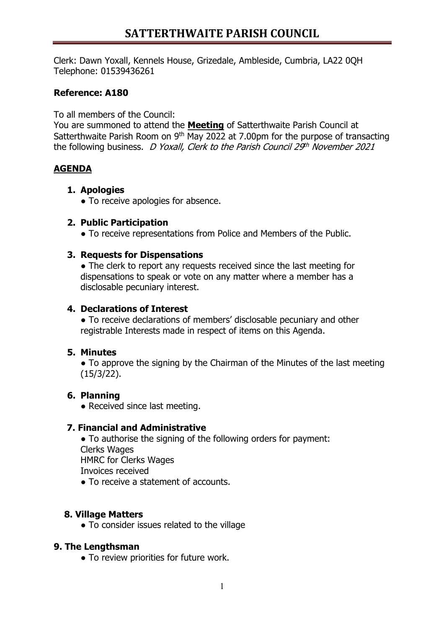# **SATTERTHWAITE PARISH COUNCIL**

Clerk: Dawn Yoxall, Kennels House, Grizedale, Ambleside, Cumbria, LA22 0QH Telephone: 01539436261

## **Reference: A180**

To all members of the Council:

You are summoned to attend the **Meeting** of Satterthwaite Parish Council at Satterthwaite Parish Room on 9<sup>th</sup> May 2022 at 7.00pm for the purpose of transacting the following business. D Yoxall, Clerk to the Parish Council  $29<sup>th</sup>$  November 2021

### **AGENDA**

### **1. Apologies**

• To receive apologies for absence.

#### **2. Public Participation**

• To receive representations from Police and Members of the Public.

#### **3. Requests for Dispensations**

• The clerk to report any requests received since the last meeting for dispensations to speak or vote on any matter where a member has a disclosable pecuniary interest.

#### **4. Declarations of Interest**

• To receive declarations of members' disclosable pecuniary and other registrable Interests made in respect of items on this Agenda.

### **5. Minutes**

• To approve the signing by the Chairman of the Minutes of the last meeting (15/3/22).

### **6. Planning**

• Received since last meeting.

### **7. Financial and Administrative**

• To authorise the signing of the following orders for payment: Clerks Wages HMRC for Clerks Wages Invoices received

● To receive a statement of accounts.

### **8. Village Matters**

● To consider issues related to the village

### **9. The Lengthsman**

● To review priorities for future work.